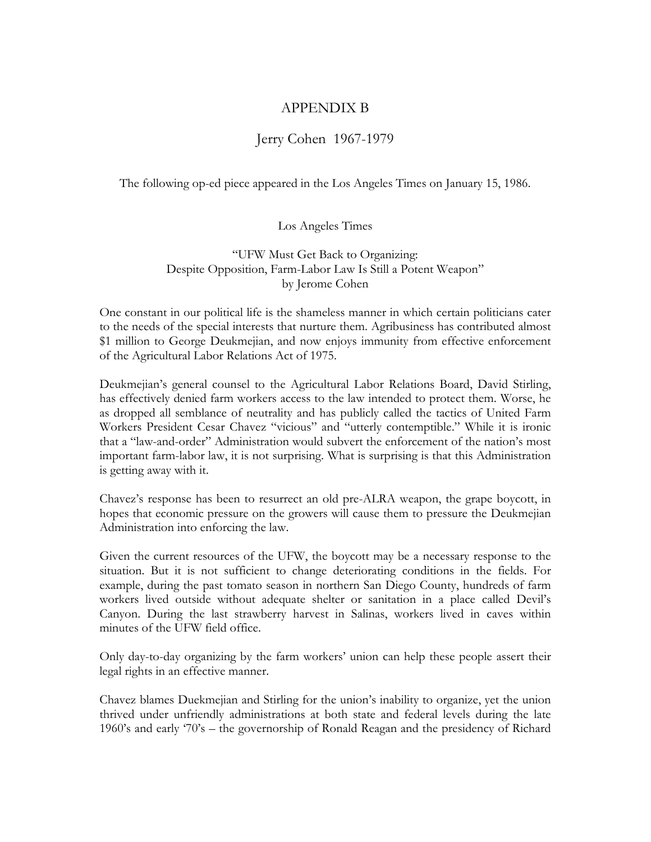## APPENDIX B

## Jerry Cohen 1967-1979

The following op-ed piece appeared in the Los Angeles Times on January 15, 1986.

Los Angeles Times

"UFW Must Get Back to Organizing: Despite Opposition, Farm-Labor Law Is Still a Potent Weapon" by Jerome Cohen

One constant in our political life is the shameless manner in which certain politicians cater to the needs of the special interests that nurture them. Agribusiness has contributed almost \$1 million to George Deukmejian, and now enjoys immunity from effective enforcement of the Agricultural Labor Relations Act of 1975.

Deukmejian's general counsel to the Agricultural Labor Relations Board, David Stirling, has effectively denied farm workers access to the law intended to protect them. Worse, he as dropped all semblance of neutrality and has publicly called the tactics of United Farm Workers President Cesar Chavez "vicious" and "utterly contemptible." While it is ironic that a "law-and-order" Administration would subvert the enforcement of the nation's most important farm-labor law, it is not surprising. What is surprising is that this Administration is getting away with it.

Chavez's response has been to resurrect an old pre-ALRA weapon, the grape boycott, in hopes that economic pressure on the growers will cause them to pressure the Deukmejian Administration into enforcing the law.

Given the current resources of the UFW, the boycott may be a necessary response to the situation. But it is not sufficient to change deteriorating conditions in the fields. For example, during the past tomato season in northern San Diego County, hundreds of farm workers lived outside without adequate shelter or sanitation in a place called Devil's Canyon. During the last strawberry harvest in Salinas, workers lived in caves within minutes of the UFW field office.

Only day-to-day organizing by the farm workers' union can help these people assert their legal rights in an effective manner.

Chavez blames Duekmejian and Stirling for the union's inability to organize, yet the union thrived under unfriendly administrations at both state and federal levels during the late 1960's and early '70's – the governorship of Ronald Reagan and the presidency of Richard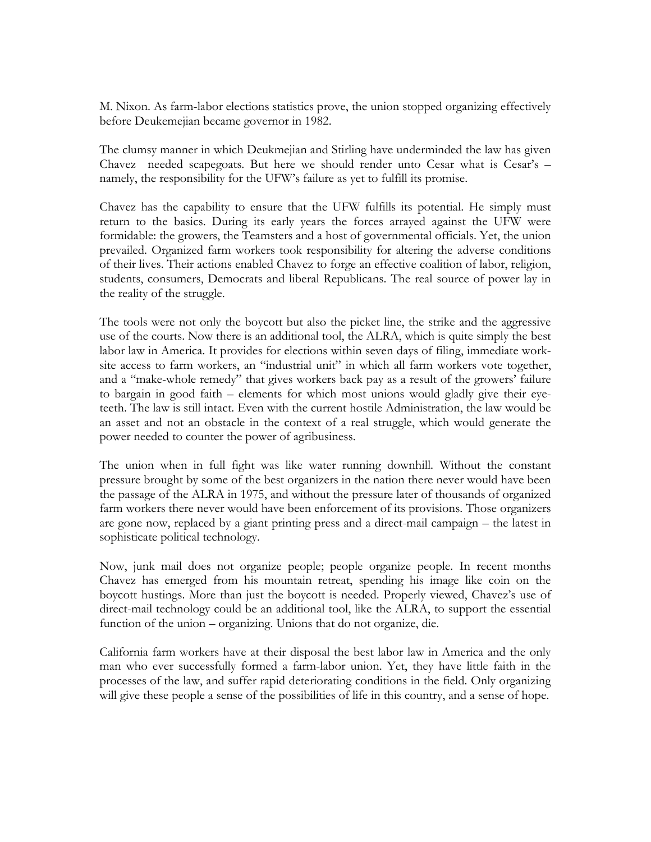M. Nixon. As farm-labor elections statistics prove, the union stopped organizing effectively before Deukemejian became governor in 1982.

The clumsy manner in which Deukmejian and Stirling have underminded the law has given Chavez needed scapegoats. But here we should render unto Cesar what is Cesar's – namely, the responsibility for the UFW's failure as yet to fulfill its promise.

Chavez has the capability to ensure that the UFW fulfills its potential. He simply must return to the basics. During its early years the forces arrayed against the UFW were formidable: the growers, the Teamsters and a host of governmental officials. Yet, the union prevailed. Organized farm workers took responsibility for altering the adverse conditions of their lives. Their actions enabled Chavez to forge an effective coalition of labor, religion, students, consumers, Democrats and liberal Republicans. The real source of power lay in the reality of the struggle.

The tools were not only the boycott but also the picket line, the strike and the aggressive use of the courts. Now there is an additional tool, the ALRA, which is quite simply the best labor law in America. It provides for elections within seven days of filing, immediate worksite access to farm workers, an "industrial unit" in which all farm workers vote together, and a "make-whole remedy" that gives workers back pay as a result of the growers' failure to bargain in good faith – elements for which most unions would gladly give their eyeteeth. The law is still intact. Even with the current hostile Administration, the law would be an asset and not an obstacle in the context of a real struggle, which would generate the power needed to counter the power of agribusiness.

The union when in full fight was like water running downhill. Without the constant pressure brought by some of the best organizers in the nation there never would have been the passage of the ALRA in 1975, and without the pressure later of thousands of organized farm workers there never would have been enforcement of its provisions. Those organizers are gone now, replaced by a giant printing press and a direct-mail campaign – the latest in sophisticate political technology.

Now, junk mail does not organize people; people organize people. In recent months Chavez has emerged from his mountain retreat, spending his image like coin on the boycott hustings. More than just the boycott is needed. Properly viewed, Chavez's use of direct-mail technology could be an additional tool, like the ALRA, to support the essential function of the union – organizing. Unions that do not organize, die.

California farm workers have at their disposal the best labor law in America and the only man who ever successfully formed a farm-labor union. Yet, they have little faith in the processes of the law, and suffer rapid deteriorating conditions in the field. Only organizing will give these people a sense of the possibilities of life in this country, and a sense of hope.